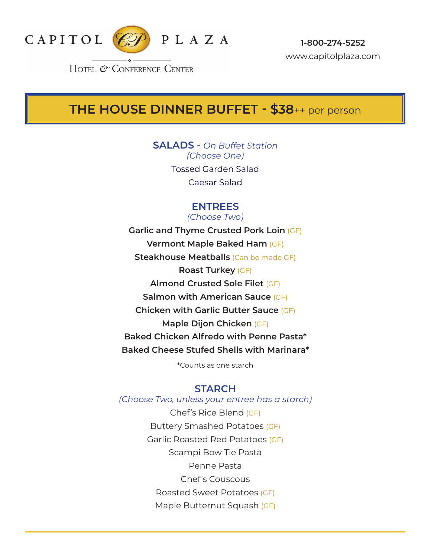

# **THE HOUSE DINNER BUFFET - \$38**++ per person

**SALADS -** *On Buffet Station (Choose One)* Tossed Garden Salad Caesar Salad

### **ENTREES**

*(Choose Two)* **Garlic and Thyme Crusted Pork Loin** (GF) **Vermont Maple Baked Ham** (GF) **Steakhouse Meatballs** (Can be made GF) **Roast Turkey** (GF) **Almond Crusted Sole Filet** (GF) **Salmon with American Sauce** (GF) **Chicken with Garlic Butter Sauce** (GF) **Maple Dijon Chicken** (GF) **Baked Chicken Alfredo with Penne Pasta\* Baked Cheese Stufed Shells with Marinara\*** 

\*Counts as one starch

#### **STARCH**

*(Choose Two, unless your entree has a starch)* Chef's Rice Blend (GF) Buttery Smashed Potatoes (GF) Garlic Roasted Red Potatoes (GF) Scampi Bow Tie Pasta Penne Pasta Chef's Couscous Roasted Sweet Potatoes (GF) Maple Butternut Squash (GF)